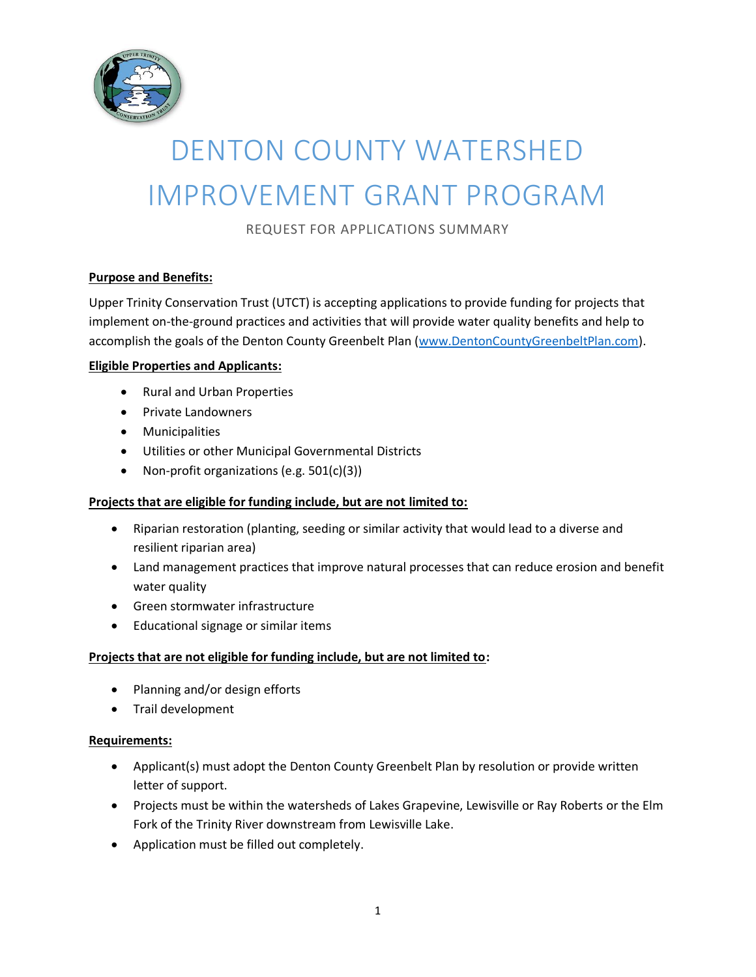

# DENTON COUNTY WATERSHED IMPROVEMENT GRANT PROGRAM

REQUEST FOR APPLICATIONS SUMMARY

## **Purpose and Benefits:**

Upper Trinity Conservation Trust (UTCT) is accepting applications to provide funding for projects that implement on-the-ground practices and activities that will provide water quality benefits and help to accomplish the goals of the Denton County Greenbelt Plan [\(www.DentonCountyGreenbeltPlan.com\)](http://www.dentoncountygreenbeltplan.com/).

#### **Eligible Properties and Applicants:**

- Rural and Urban Properties
- Private Landowners
- Municipalities
- Utilities or other Municipal Governmental Districts
- Non-profit organizations (e.g. 501(c)(3))

#### **Projects that are eligible for funding include, but are not limited to:**

- Riparian restoration (planting, seeding or similar activity that would lead to a diverse and resilient riparian area)
- Land management practices that improve natural processes that can reduce erosion and benefit water quality
- Green stormwater infrastructure
- Educational signage or similar items

#### **Projects that are not eligible for funding include, but are not limited to:**

- Planning and/or design efforts
- Trail development

#### **Requirements:**

- Applicant(s) must adopt the Denton County Greenbelt Plan by resolution or provide written letter of support.
- Projects must be within the watersheds of Lakes Grapevine, Lewisville or Ray Roberts or the Elm Fork of the Trinity River downstream from Lewisville Lake.
- Application must be filled out completely.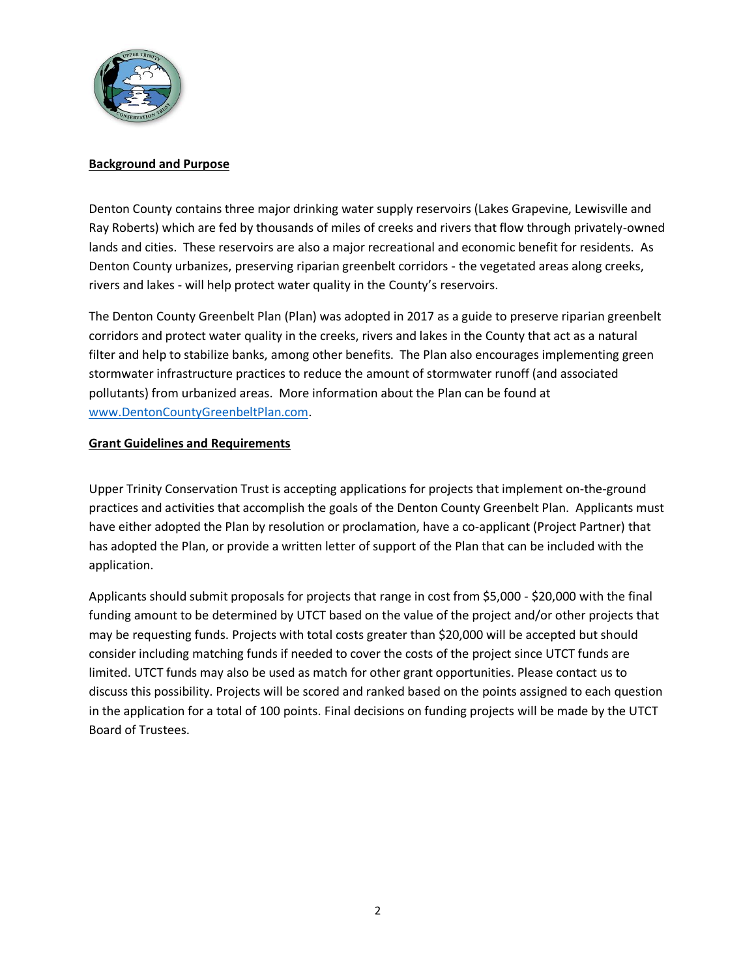

#### **Background and Purpose**

Denton County contains three major drinking water supply reservoirs (Lakes Grapevine, Lewisville and Ray Roberts) which are fed by thousands of miles of creeks and rivers that flow through privately-owned lands and cities. These reservoirs are also a major recreational and economic benefit for residents. As Denton County urbanizes, preserving riparian greenbelt corridors - the vegetated areas along creeks, rivers and lakes - will help protect water quality in the County's reservoirs.

The Denton County Greenbelt Plan (Plan) was adopted in 2017 as a guide to preserve riparian greenbelt corridors and protect water quality in the creeks, rivers and lakes in the County that act as a natural filter and help to stabilize banks, among other benefits. The Plan also encourages implementing green stormwater infrastructure practices to reduce the amount of stormwater runoff (and associated pollutants) from urbanized areas. More information about the Plan can be found at [www.DentonCountyGreenbeltPlan.com.](http://www.dentoncountygreenbeltplan.com/)

#### **Grant Guidelines and Requirements**

Upper Trinity Conservation Trust is accepting applications for projects that implement on-the-ground practices and activities that accomplish the goals of the Denton County Greenbelt Plan. Applicants must have either adopted the Plan by resolution or proclamation, have a co-applicant (Project Partner) that has adopted the Plan, or provide a written letter of support of the Plan that can be included with the application.

Applicants should submit proposals for projects that range in cost from \$5,000 - \$20,000 with the final funding amount to be determined by UTCT based on the value of the project and/or other projects that may be requesting funds. Projects with total costs greater than \$20,000 will be accepted but should consider including matching funds if needed to cover the costs of the project since UTCT funds are limited. UTCT funds may also be used as match for other grant opportunities. Please contact us to discuss this possibility. Projects will be scored and ranked based on the points assigned to each question in the application for a total of 100 points. Final decisions on funding projects will be made by the UTCT Board of Trustees.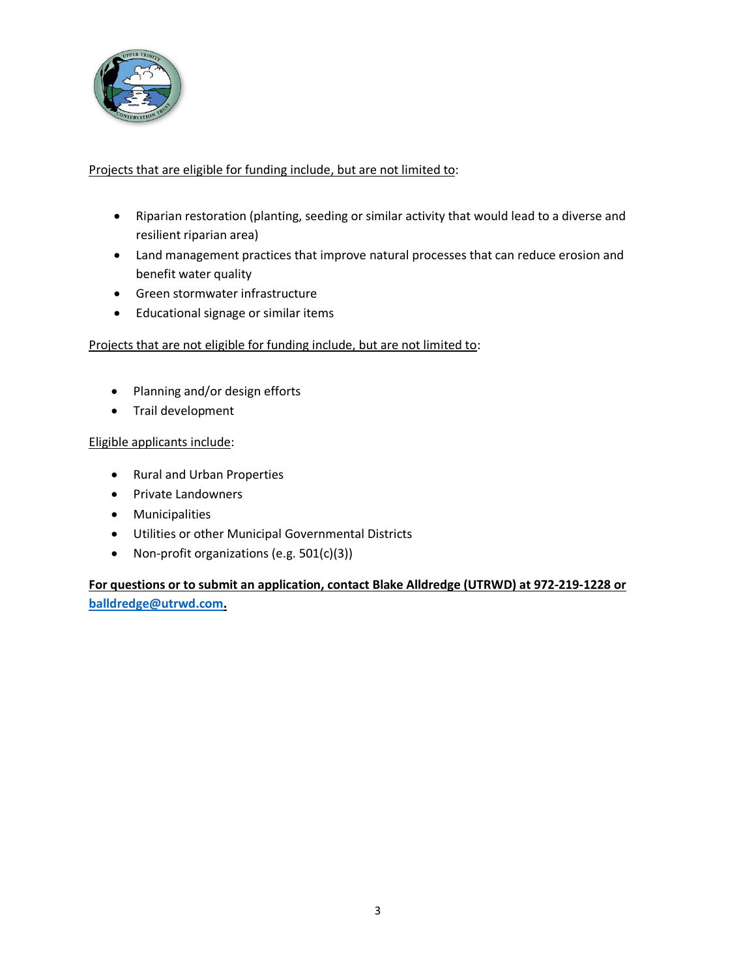

## Projects that are eligible for funding include, but are not limited to:

- Riparian restoration (planting, seeding or similar activity that would lead to a diverse and resilient riparian area)
- Land management practices that improve natural processes that can reduce erosion and benefit water quality
- Green stormwater infrastructure
- Educational signage or similar items

# Projects that are not eligible for funding include, but are not limited to:

- Planning and/or design efforts
- Trail development

# Eligible applicants include:

- Rural and Urban Properties
- Private Landowners
- Municipalities
- Utilities or other Municipal Governmental Districts
- Non-profit organizations (e.g. 501(c)(3))

# **For questions or to submit an application, contact Blake Alldredge (UTRWD) at 972-219-1228 or [balldredge@utrwd.com.](mailto:balldredge@utrwd.com)**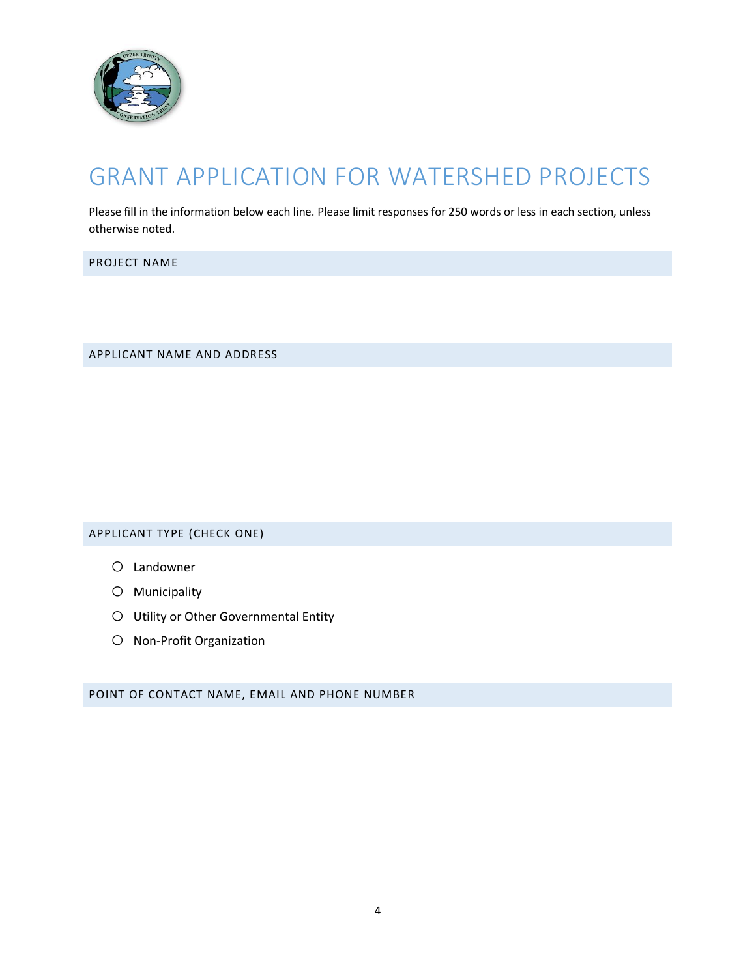

# GRANT APPLICATION FOR WATERSHED PROJECTS

Please fill in the information below each line. Please limit responses for 250 words or less in each section, unless otherwise noted.

PROJECT NAME

APPLICANT NAME AND ADDRESS

APPLICANT TYPE (CHECK ONE)

- o Landowner
- o Municipality
- o Utility or Other Governmental Entity
- o Non-Profit Organization

POINT OF CONTACT NAME, EMAIL AND PHONE NUMBER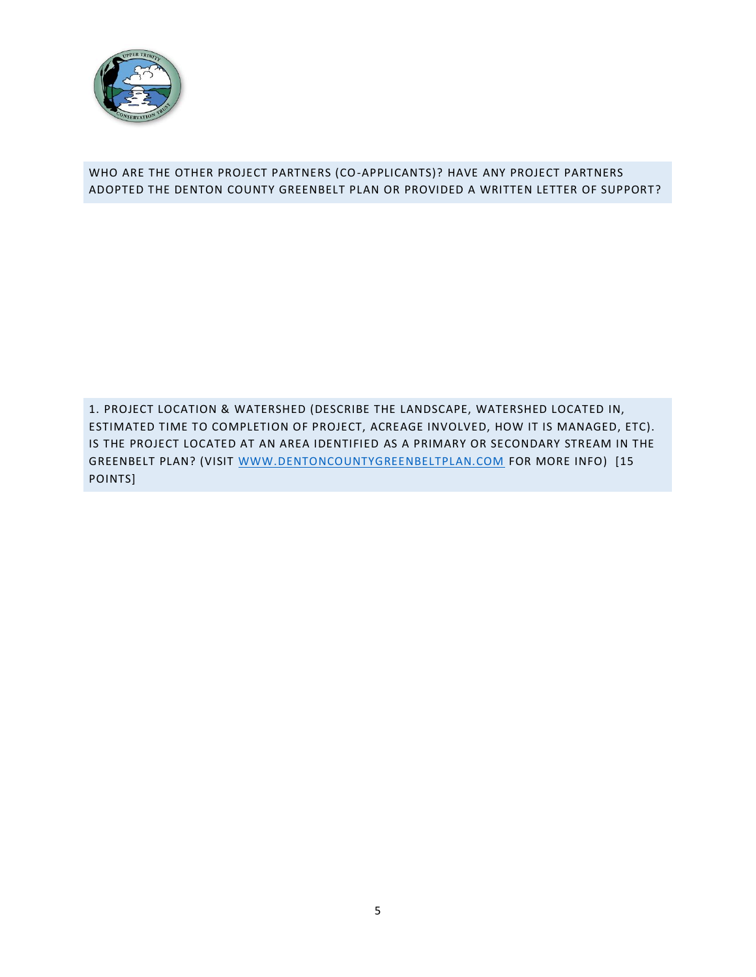

## WHO ARE THE OTHER PROJECT PARTNERS (CO-APPLICANTS)? HAVE ANY PROJECT PARTNERS ADOPTED THE DENTON COUNTY GREENBELT PLAN OR PROVIDED A WRITTEN LETTER OF SUPPORT?

1. PROJECT LOCATION & WATERSHED (DESCRIBE THE LANDSCAPE, WATERSHED LOCATED IN, ESTIMATED TIME TO COMPLETION OF PROJECT, ACREAGE INVOLVED, HOW IT IS MANAGED, ETC). IS THE PROJECT LOCATED AT AN AREA IDENTIFIED AS A PRIMARY OR SECONDARY STREAM IN THE GREENBELT PLAN? (VISIT [WWW.DENTONCOUNTYGREENBELTPLAN.COM](http://www.dentoncountygreenbeltplan.com/) FOR MORE INFO) [15 POINTS]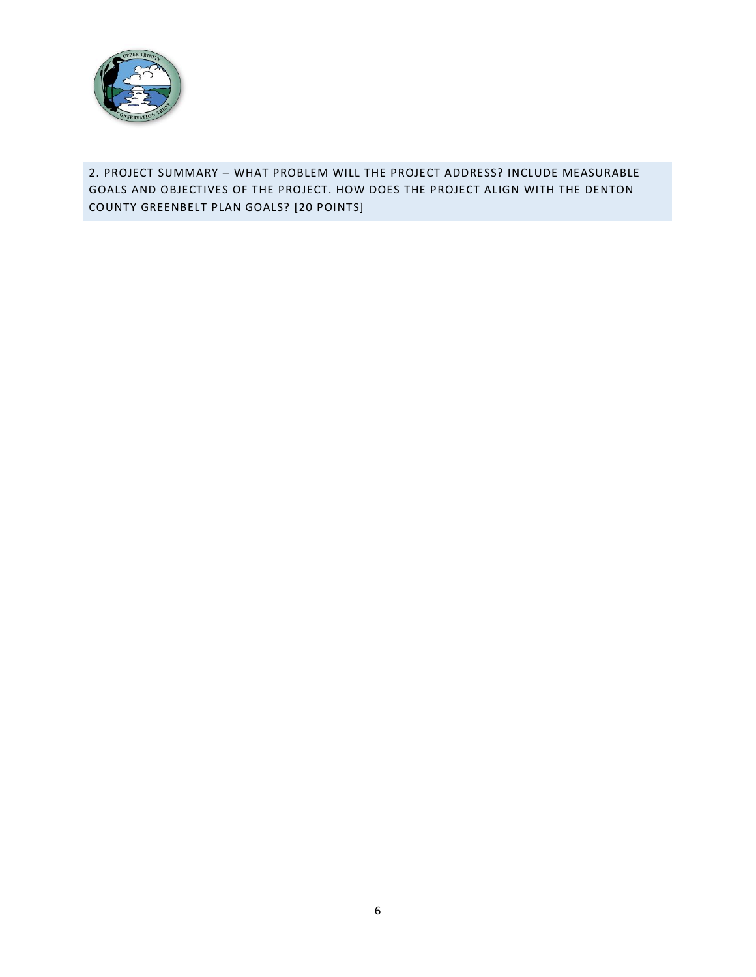

# 2. PROJECT SUMMARY – WHAT PROBLEM WILL THE PROJECT ADDRESS? INCLUDE MEASURABLE GOALS AND OBJECTIVES OF THE PROJECT. HOW DOES THE PROJECT ALIGN WITH THE DENTON COUNTY GREENBELT PLAN GOALS? [20 POINTS]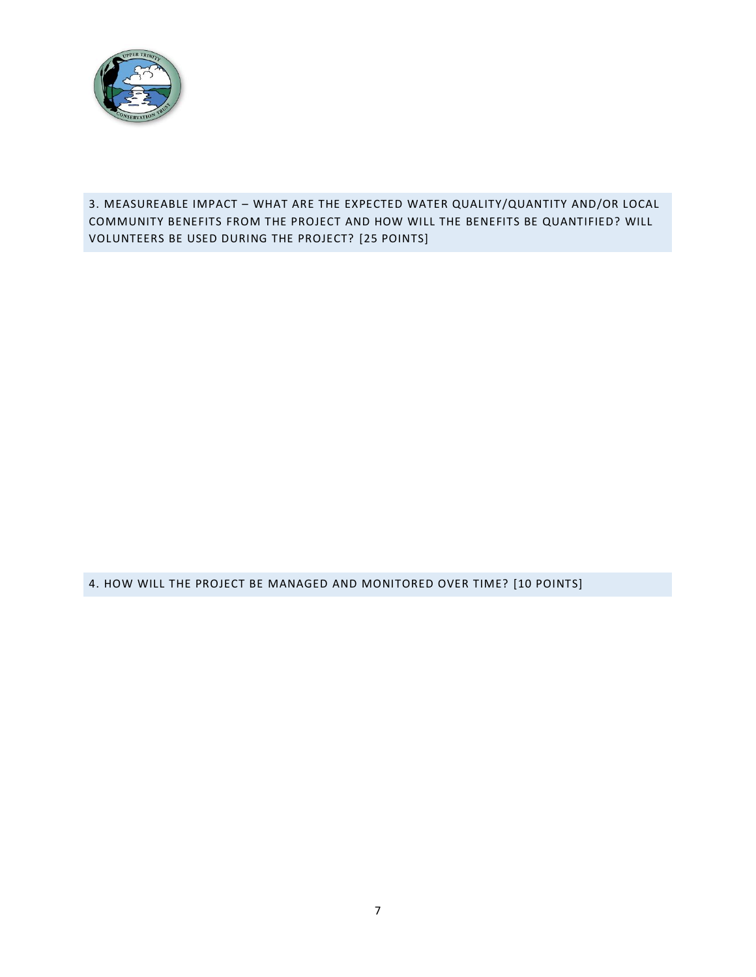

3. MEASUREABLE IMPACT – WHAT ARE THE EXPECTED WATER QUALITY/QUANTITY AND/OR LOCAL COMMUNITY BENEFITS FROM THE PROJECT AND HOW WILL THE BENEFITS BE QUANTIFIED? WILL VOLUNTEERS BE USED DURING THE PROJECT? [25 POINTS]

4. HOW WILL THE PROJECT BE MANAGED AND MONITORED OVER TIME? [10 POINTS]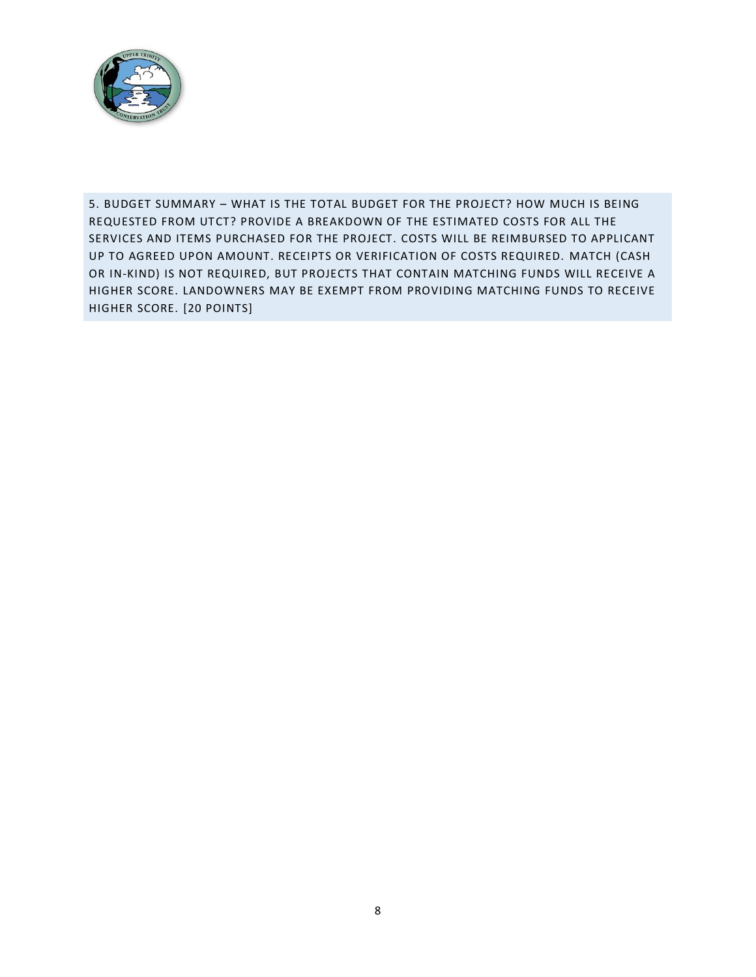

5. BUDGET SUMMARY – WHAT IS THE TOTAL BUDGET FOR THE PROJECT? HOW MUCH IS BEING REQUESTED FROM UTCT? PROVIDE A BREAKDOWN OF THE ESTIMATED COSTS FOR ALL THE SERVICES AND ITEMS PURCHASED FOR THE PROJECT. COSTS WILL BE REIMBURSED TO APPLICANT UP TO AGREED UPON AMOUNT. RECEIPTS OR VERIFICATION OF COSTS REQUIRED. MATCH (CASH OR IN-KIND) IS NOT REQUIRED, BUT PROJECTS THAT CONTAIN MATCHING FUNDS WILL RECEIVE A HIGHER SCORE. LANDOWNERS MAY BE EXEMPT FROM PROVIDING MATCHING FUNDS TO RECEIVE HIGHER SCORE. [20 POINTS]